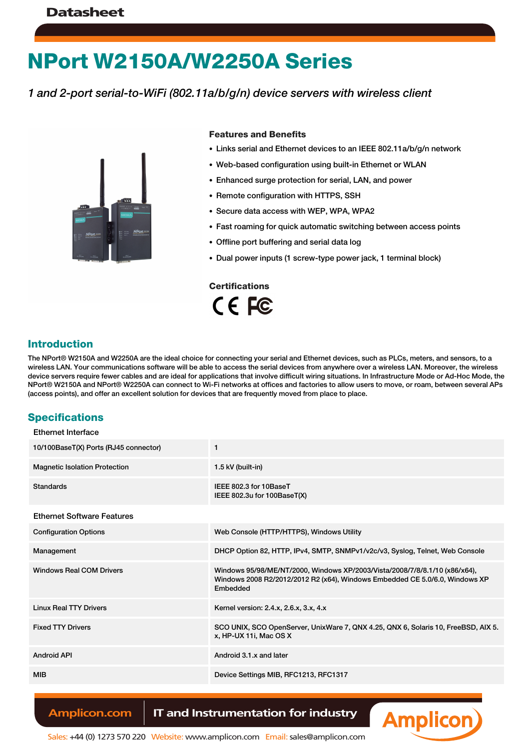# **NPort W2150A/W2250A Series**

*1 and 2-port serial-to-WiFi (802.11a/b/g/n) device servers with wireless client*



#### **Features and Benefits**

- Links serial and Ethernet devices to an IEEE 802.11a/b/g/n network
- Web-based configuration using built-in Ethernet or WLAN
- Enhanced surge protection for serial, LAN, and power
- Remote configuration with HTTPS, SSH
- Secure data access with WEP, WPA, WPA2
- Fast roaming for quick automatic switching between access points
- Offline port buffering and serial data log
- Dual power inputs (1 screw-type power jack, 1 terminal block)

**Certifications**  $C \in FC$ 

#### **Introduction**

The NPort® W2150A and W2250A are the ideal choice for connecting your serial and Ethernet devices, such as PLCs, meters, and sensors, to a wireless LAN. Your communications software will be able to access the serial devices from anywhere over a wireless LAN. Moreover, the wireless device servers require fewer cables and are ideal for applications that involve difficult wiring situations. In Infrastructure Mode or Ad-Hoc Mode, the NPort® W2150A and NPort® W2250A can connect to Wi-Fi networks at offices and factories to allow users to move, or roam, between several APs (access points), and offer an excellent solution for devices that are frequently moved from place to place.

#### **Specifications**

| <b>Ethernet Interface</b>             |                                                                                                                                                                       |
|---------------------------------------|-----------------------------------------------------------------------------------------------------------------------------------------------------------------------|
| 10/100BaseT(X) Ports (RJ45 connector) | 1                                                                                                                                                                     |
| <b>Magnetic Isolation Protection</b>  | 1.5 kV (built-in)                                                                                                                                                     |
| <b>Standards</b>                      | IEEE 802.3 for 10BaseT<br>IEEE 802.3u for 100BaseT(X)                                                                                                                 |
| <b>Ethernet Software Features</b>     |                                                                                                                                                                       |
| <b>Configuration Options</b>          | Web Console (HTTP/HTTPS), Windows Utility                                                                                                                             |
| Management                            | DHCP Option 82, HTTP, IPv4, SMTP, SNMPv1/v2c/v3, Syslog, Telnet, Web Console                                                                                          |
| <b>Windows Real COM Drivers</b>       | Windows 95/98/ME/NT/2000, Windows XP/2003/Vista/2008/7/8/8.1/10 (x86/x64),<br>Windows 2008 R2/2012/2012 R2 (x64), Windows Embedded CE 5.0/6.0, Windows XP<br>Embedded |
| <b>Linux Real TTY Drivers</b>         | Kernel version: 2.4.x, 2.6.x, 3.x, 4.x                                                                                                                                |
| <b>Fixed TTY Drivers</b>              | SCO UNIX, SCO OpenServer, UnixWare 7, QNX 4.25, QNX 6, Solaris 10, FreeBSD, AIX 5.<br>x, HP-UX 11i, Mac OS X                                                          |
| <b>Android API</b>                    | Android 3.1.x and later                                                                                                                                               |
| <b>MIB</b>                            | Device Settings MIB, RFC1213, RFC1317                                                                                                                                 |
|                                       |                                                                                                                                                                       |

#### **Amplicon.com | IT and Instrumentation for industry**

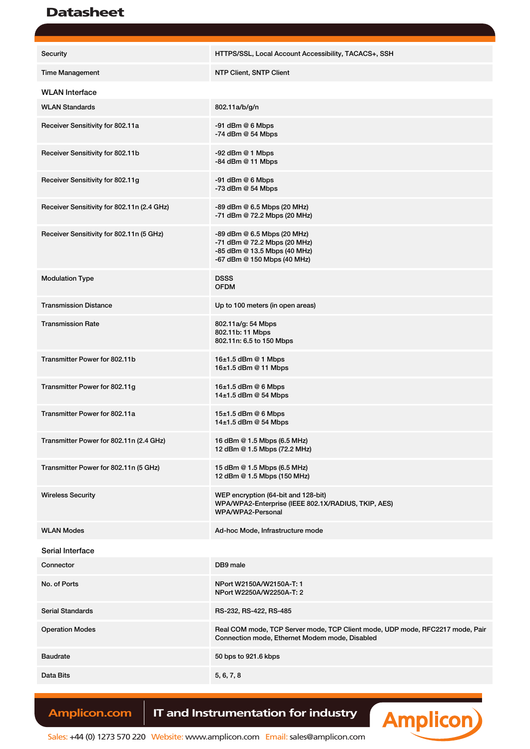### **Datasheet**

| Security                                   | HTTPS/SSL, Local Account Accessibility, TACACS+, SSH                                                                            |  |  |
|--------------------------------------------|---------------------------------------------------------------------------------------------------------------------------------|--|--|
| <b>Time Management</b>                     | NTP Client, SNTP Client                                                                                                         |  |  |
| <b>WLAN</b> Interface                      |                                                                                                                                 |  |  |
| <b>WLAN Standards</b>                      | 802.11a/b/g/n                                                                                                                   |  |  |
| Receiver Sensitivity for 802.11a           | $-91$ dBm $@6$ Mbps<br>$-74$ dBm $@$ 54 Mbps                                                                                    |  |  |
| Receiver Sensitivity for 802.11b           | $-92$ dBm $@$ 1 Mbps<br>$-84$ dBm $@$ 11 Mbps                                                                                   |  |  |
| Receiver Sensitivity for 802.11g           | $-91$ dBm $@6$ Mbps<br>$-73$ dBm $@$ 54 Mbps                                                                                    |  |  |
| Receiver Sensitivity for 802.11n (2.4 GHz) | -89 dBm @ 6.5 Mbps (20 MHz)<br>-71 dBm @ 72.2 Mbps (20 MHz)                                                                     |  |  |
| Receiver Sensitivity for 802.11n (5 GHz)   | -89 dBm @ 6.5 Mbps (20 MHz)<br>-71 dBm @ 72.2 Mbps (20 MHz)<br>-85 dBm @ 13.5 Mbps (40 MHz)<br>-67 dBm @ 150 Mbps (40 MHz)      |  |  |
| <b>Modulation Type</b>                     | <b>DSSS</b><br><b>OFDM</b>                                                                                                      |  |  |
| <b>Transmission Distance</b>               | Up to 100 meters (in open areas)                                                                                                |  |  |
| <b>Transmission Rate</b>                   | 802.11a/g: 54 Mbps<br>802.11b: 11 Mbps<br>802.11n: 6.5 to 150 Mbps                                                              |  |  |
| Transmitter Power for 802.11b              | 16±1.5 dBm @ 1 Mbps<br>16±1.5 dBm @ 11 Mbps                                                                                     |  |  |
| Transmitter Power for 802.11g              | 16±1.5 dBm @ 6 Mbps<br>14±1.5 dBm @ 54 Mbps                                                                                     |  |  |
| Transmitter Power for 802.11a              | $15±1.5$ dBm @ 6 Mbps<br>$14\pm1.5$ dBm @ 54 Mbps                                                                               |  |  |
| Transmitter Power for 802.11n (2.4 GHz)    | 16 dBm @ 1.5 Mbps (6.5 MHz)<br>12 dBm @ 1.5 Mbps (72.2 MHz)                                                                     |  |  |
| Transmitter Power for 802.11n (5 GHz)      | 15 dBm @ 1.5 Mbps (6.5 MHz)<br>12 dBm @ 1.5 Mbps (150 MHz)                                                                      |  |  |
| <b>Wireless Security</b>                   | WEP encryption (64-bit and 128-bit)<br>WPA/WPA2-Enterprise (IEEE 802.1X/RADIUS, TKIP, AES)<br>WPA/WPA2-Personal                 |  |  |
| <b>WLAN Modes</b>                          | Ad-hoc Mode, Infrastructure mode                                                                                                |  |  |
| Serial Interface                           |                                                                                                                                 |  |  |
| Connector                                  | DB9 male                                                                                                                        |  |  |
| No. of Ports                               | NPort W2150A/W2150A-T: 1<br>NPort W2250A/W2250A-T: 2                                                                            |  |  |
| <b>Serial Standards</b>                    | RS-232, RS-422, RS-485                                                                                                          |  |  |
| <b>Operation Modes</b>                     | Real COM mode, TCP Server mode, TCP Client mode, UDP mode, RFC2217 mode, Pair<br>Connection mode, Ethernet Modem mode, Disabled |  |  |
| <b>Baudrate</b>                            | 50 bps to 921.6 kbps                                                                                                            |  |  |
| Data Bits                                  | 5, 6, 7, 8                                                                                                                      |  |  |
|                                            |                                                                                                                                 |  |  |

Amplicon.com | IT and Instrumentation for industry

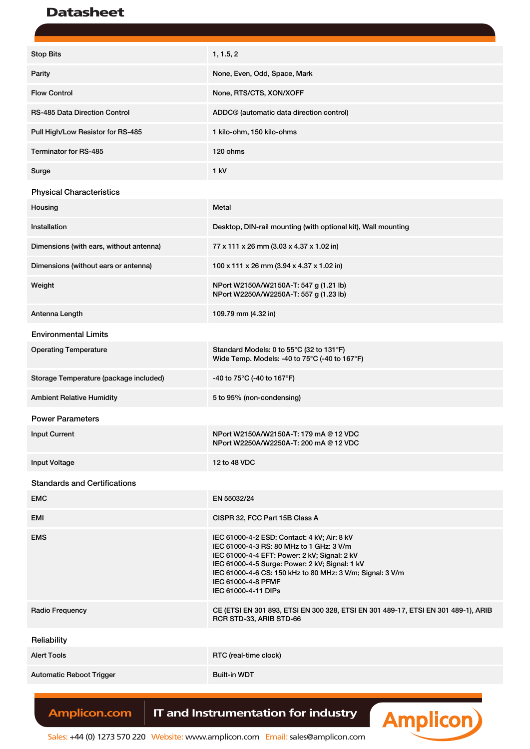## Datasheet

| <b>Stop Bits</b>                        | 1, 1.5, 2                                                                                                                                                                                                                                                                                           |
|-----------------------------------------|-----------------------------------------------------------------------------------------------------------------------------------------------------------------------------------------------------------------------------------------------------------------------------------------------------|
| Parity                                  | None, Even, Odd, Space, Mark                                                                                                                                                                                                                                                                        |
| <b>Flow Control</b>                     | None, RTS/CTS, XON/XOFF                                                                                                                                                                                                                                                                             |
| <b>RS-485 Data Direction Control</b>    | ADDC <sup>®</sup> (automatic data direction control)                                                                                                                                                                                                                                                |
| Pull High/Low Resistor for RS-485       | 1 kilo-ohm, 150 kilo-ohms                                                                                                                                                                                                                                                                           |
| Terminator for RS-485                   | 120 ohms                                                                                                                                                                                                                                                                                            |
| Surge                                   | 1 kV                                                                                                                                                                                                                                                                                                |
| <b>Physical Characteristics</b>         |                                                                                                                                                                                                                                                                                                     |
| Housing                                 | Metal                                                                                                                                                                                                                                                                                               |
| Installation                            | Desktop, DIN-rail mounting (with optional kit), Wall mounting                                                                                                                                                                                                                                       |
| Dimensions (with ears, without antenna) | 77 x 111 x 26 mm (3.03 x 4.37 x 1.02 in)                                                                                                                                                                                                                                                            |
| Dimensions (without ears or antenna)    | 100 x 111 x 26 mm (3.94 x 4.37 x 1.02 in)                                                                                                                                                                                                                                                           |
| Weight                                  | NPort W2150A/W2150A-T: 547 g (1.21 lb)<br>NPort W2250A/W2250A-T: 557 g (1.23 lb)                                                                                                                                                                                                                    |
| Antenna Length                          | 109.79 mm (4.32 in)                                                                                                                                                                                                                                                                                 |
| <b>Environmental Limits</b>             |                                                                                                                                                                                                                                                                                                     |
| <b>Operating Temperature</b>            | Standard Models: 0 to 55°C (32 to 131°F)<br>Wide Temp. Models: -40 to 75°C (-40 to 167°F)                                                                                                                                                                                                           |
| Storage Temperature (package included)  | -40 to 75°C (-40 to 167°F)                                                                                                                                                                                                                                                                          |
| <b>Ambient Relative Humidity</b>        | 5 to 95% (non-condensing)                                                                                                                                                                                                                                                                           |
| <b>Power Parameters</b>                 |                                                                                                                                                                                                                                                                                                     |
| <b>Input Current</b>                    | NPort W2150A/W2150A-T: 179 mA @ 12 VDC<br>NPort W2250A/W2250A-T: 200 mA @ 12 VDC                                                                                                                                                                                                                    |
| <b>Input Voltage</b>                    | 12 to 48 VDC                                                                                                                                                                                                                                                                                        |
| <b>Standards and Certifications</b>     |                                                                                                                                                                                                                                                                                                     |
| <b>EMC</b>                              | EN 55032/24                                                                                                                                                                                                                                                                                         |
| EMI                                     | CISPR 32, FCC Part 15B Class A                                                                                                                                                                                                                                                                      |
| <b>EMS</b>                              | IEC 61000-4-2 ESD: Contact: 4 kV; Air: 8 kV<br>IEC 61000-4-3 RS: 80 MHz to 1 GHz: 3 V/m<br>IEC 61000-4-4 EFT: Power: 2 kV; Signal: 2 kV<br>IEC 61000-4-5 Surge: Power: 2 kV; Signal: 1 kV<br>IEC 61000-4-6 CS: 150 kHz to 80 MHz: 3 V/m; Signal: 3 V/m<br>IEC 61000-4-8 PFMF<br>IEC 61000-4-11 DIPs |
| Radio Frequency                         | CE (ETSI EN 301 893, ETSI EN 300 328, ETSI EN 301 489-17, ETSI EN 301 489-1), ARIB<br>RCR STD-33, ARIB STD-66                                                                                                                                                                                       |
| Reliability                             |                                                                                                                                                                                                                                                                                                     |
| <b>Alert Tools</b>                      | RTC (real-time clock)                                                                                                                                                                                                                                                                               |
| <b>Automatic Reboot Trigger</b>         | <b>Built-in WDT</b>                                                                                                                                                                                                                                                                                 |
|                                         |                                                                                                                                                                                                                                                                                                     |

Amplicon.com | IT and Instrumentation for industry

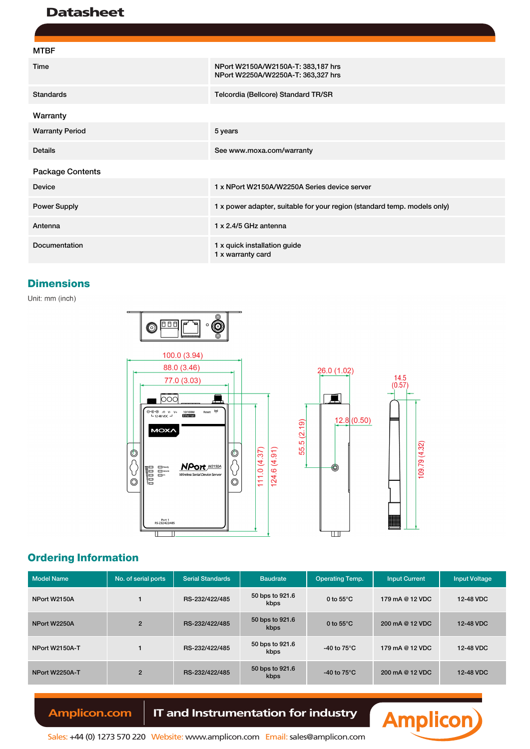### **Datasheet**

| <b>MTBF</b>             |                                                                          |
|-------------------------|--------------------------------------------------------------------------|
| Time                    | NPort W2150A/W2150A-T: 383,187 hrs<br>NPort W2250A/W2250A-T: 363,327 hrs |
| <b>Standards</b>        | Telcordia (Bellcore) Standard TR/SR                                      |
| Warranty                |                                                                          |
| <b>Warranty Period</b>  | 5 years                                                                  |
| <b>Details</b>          | See www.moxa.com/warranty                                                |
| <b>Package Contents</b> |                                                                          |
| <b>Device</b>           | 1 x NPort W2150A/W2250A Series device server                             |
| <b>Power Supply</b>     | 1 x power adapter, suitable for your region (standard temp. models only) |
| Antenna                 | 1 x 2.4/5 GHz antenna                                                    |
| Documentation           | 1 x quick installation guide<br>1 x warranty card                        |

#### **Dimensions**

Unit: mm (inch)



### **Ordering Information**

| <b>Model Name</b>     | No. of serial ports | <b>Serial Standards</b> | <b>Baudrate</b>         | <b>Operating Temp.</b> | <b>Input Current</b> | <b>Input Voltage</b> |
|-----------------------|---------------------|-------------------------|-------------------------|------------------------|----------------------|----------------------|
| NPort W2150A          |                     | RS-232/422/485          | 50 bps to 921.6<br>kbps | 0 to $55^{\circ}$ C    | 179 mA @ 12 VDC      | 12-48 VDC            |
| NPort W2250A          | $\overline{2}$      | RS-232/422/485          | 50 bps to 921.6<br>kbps | 0 to $55^{\circ}$ C    | 200 mA @ 12 VDC      | 12-48 VDC            |
| <b>NPort W2150A-T</b> |                     | RS-232/422/485          | 50 bps to 921.6<br>kbps | -40 to $75^{\circ}$ C  | 179 mA @ 12 VDC      | 12-48 VDC            |
| NPort W2250A-T        | $\overline{2}$      | RS-232/422/485          | 50 bps to 921.6<br>kbps | -40 to $75^{\circ}$ C  | 200 mA @ 12 VDC      | 12-48 VDC            |

### Amplicon.com | IT and Instrumentation for industry



 $109.79(4.32)$